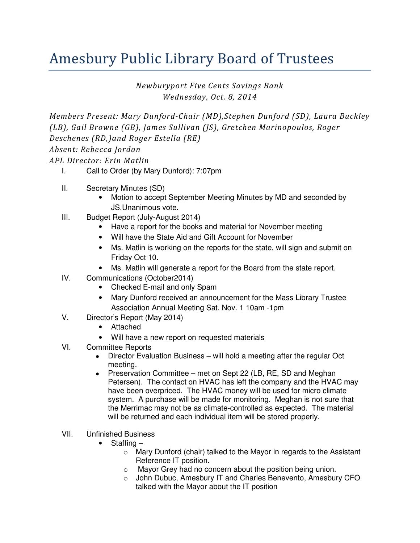## Amesbury Public Library Board of Trustees

Newburyport Five Cents Savings Bank Wednesday, Oct. 8, 2014

Members Present: Mary Dunford-Chair (MD),Stephen Dunford (SD), Laura Buckley (LB), Gail Browne (GB), James Sullivan (JS), Gretchen Marinopoulos, Roger Deschenes (RD,)and Roger Estella (RE) Absent: Rebecca Jordan

APL Director: Erin Matlin

- I. Call to Order (by Mary Dunford): 7:07pm
- II. Secretary Minutes (SD)
	- Motion to accept September Meeting Minutes by MD and seconded by JS.Unanimous vote.
- III. Budget Report (July-August 2014)
	- Have a report for the books and material for November meeting
	- Will have the State Aid and Gift Account for November
	- Ms. Matlin is working on the reports for the state, will sign and submit on Friday Oct 10.
	- Ms. Matlin will generate a report for the Board from the state report.
- IV. Communications (October2014)
	- Checked E-mail and only Spam
	- Mary Dunford received an announcement for the Mass Library Trustee Association Annual Meeting Sat. Nov. 1 10am -1pm
- V. Director's Report (May 2014)
	- Attached
	- Will have a new report on requested materials
- VI. Committee Reports
	- Director Evaluation Business will hold a meeting after the regular Oct meeting.
	- Preservation Committee met on Sept 22 (LB, RE, SD and Meghan Petersen). The contact on HVAC has left the company and the HVAC may have been overpriced. The HVAC money will be used for micro climate system. A purchase will be made for monitoring. Meghan is not sure that the Merrimac may not be as climate-controlled as expected. The material will be returned and each individual item will be stored properly.
- VII. Unfinished Business
	- Staffing
		- o Mary Dunford (chair) talked to the Mayor in regards to the Assistant Reference IT position.
		- o Mayor Grey had no concern about the position being union.
		- o John Dubuc, Amesbury IT and Charles Benevento, Amesbury CFO talked with the Mayor about the IT position